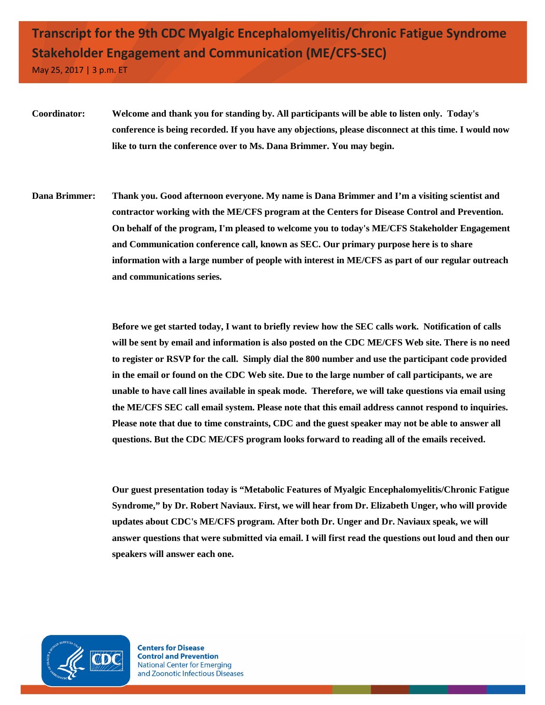## **Transcript for the 9th CDC Myalgic Encephalomyelitis/Chronic Fatigue Syndrome Stakeholder Engagement and Communication (ME/CFS-SEC)**

May 25, 2017 | 3 p.m. ET

- **Coordinator: Welcome and thank you for standing by. All participants will be able to listen only. Today's conference is being recorded. If you have any objections, please disconnect at this time. I would now like to turn the conference over to Ms. Dana Brimmer. You may begin.**
- **Dana Brimmer: Thank you. Good afternoon everyone. My name is Dana Brimmer and I'm a visiting scientist and contractor working with the ME/CFS program at the Centers for Disease Control and Prevention. On behalf of the program, I'm pleased to welcome you to today's ME/CFS Stakeholder Engagement and Communication conference call, known as SEC. Our primary purpose here is to share information with a large number of people with interest in ME/CFS as part of our regular outreach and communications series.**

**Before we get started today, I want to briefly review how the SEC calls work. Notification of calls will be sent by email and information is also posted on the CDC ME/CFS Web site. There is no need to register or RSVP for the call. Simply dial the 800 number and use the participant code provided in the email or found on the CDC Web site. Due to the large number of call participants, we are unable to have call lines available in speak mode. Therefore, we will take questions via email using the ME/CFS SEC call email system. Please note that this email address cannot respond to inquiries. Please note that due to time constraints, CDC and the guest speaker may not be able to answer all questions. But the CDC ME/CFS program looks forward to reading all of the emails received.**

**Our guest presentation today is "Metabolic Features of Myalgic Encephalomyelitis/Chronic Fatigue Syndrome," by Dr. Robert Naviaux. First, we will hear from Dr. Elizabeth Unger, who will provide updates about CDC's ME/CFS program. After both Dr. Unger and Dr. Naviaux speak, we will answer questions that were submitted via email. I will first read the questions out loud and then our speakers will answer each one.**

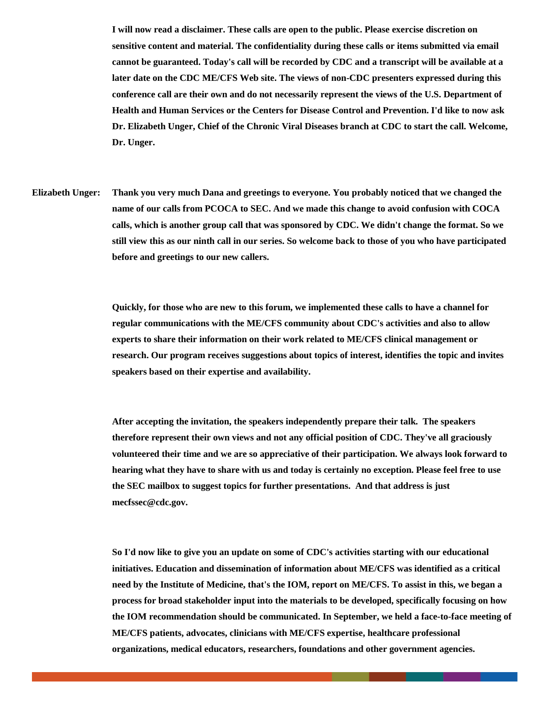**I will now read a disclaimer. These calls are open to the public. Please exercise discretion on sensitive content and material. The confidentiality during these calls or items submitted via email cannot be guaranteed. Today's call will be recorded by CDC and a transcript will be available at a later date on the CDC ME/CFS Web site. The views of non-CDC presenters expressed during this conference call are their own and do not necessarily represent the views of the U.S. Department of Health and Human Services or the Centers for Disease Control and Prevention. I'd like to now ask Dr. Elizabeth Unger, Chief of the Chronic Viral Diseases branch at CDC to start the call. Welcome, Dr. Unger.**

**Elizabeth Unger: Thank you very much Dana and greetings to everyone. You probably noticed that we changed the name of our calls from PCOCA to SEC. And we made this change to avoid confusion with COCA calls, which is another group call that was sponsored by CDC. We didn't change the format. So we still view this as our ninth call in our series. So welcome back to those of you who have participated before and greetings to our new callers.**

> **Quickly, for those who are new to this forum, we implemented these calls to have a channel for regular communications with the ME/CFS community about CDC's activities and also to allow experts to share their information on their work related to ME/CFS clinical management or research. Our program receives suggestions about topics of interest, identifies the topic and invites speakers based on their expertise and availability.**

**After accepting the invitation, the speakers independently prepare their talk. The speakers therefore represent their own views and not any official position of CDC. They've all graciously volunteered their time and we are so appreciative of their participation. We always look forward to hearing what they have to share with us and today is certainly no exception. Please feel free to use the SEC mailbox to suggest topics for further presentations. And that address is just mecfssec@cdc.gov.**

**So I'd now like to give you an update on some of CDC's activities starting with our educational initiatives. Education and dissemination of information about ME/CFS was identified as a critical need by the Institute of Medicine, that's the IOM, report on ME/CFS. To assist in this, we began a process for broad stakeholder input into the materials to be developed, specifically focusing on how the IOM recommendation should be communicated. In September, we held a face-to-face meeting of ME/CFS patients, advocates, clinicians with ME/CFS expertise, healthcare professional organizations, medical educators, researchers, foundations and other government agencies.**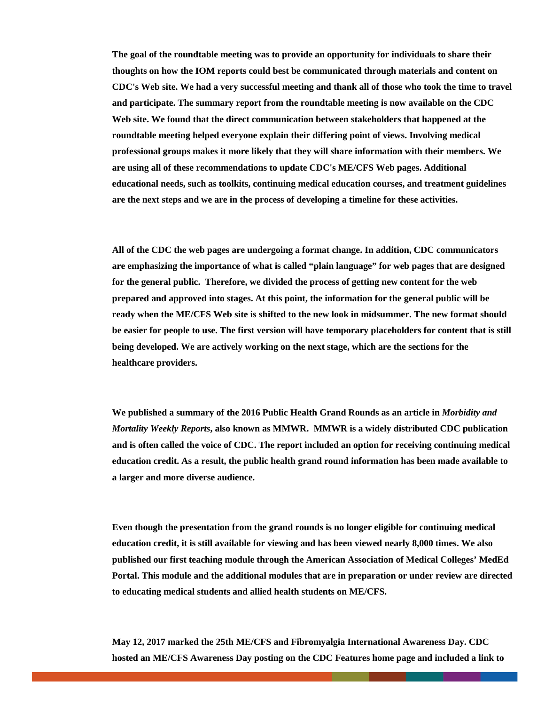**The goal of the roundtable meeting was to provide an opportunity for individuals to share their thoughts on how the IOM reports could best be communicated through materials and content on CDC's Web site. We had a very successful meeting and thank all of those who took the time to travel and participate. The summary report from the roundtable meeting is now available on the CDC Web site. We found that the direct communication between stakeholders that happened at the roundtable meeting helped everyone explain their differing point of views. Involving medical professional groups makes it more likely that they will share information with their members. We are using all of these recommendations to update CDC's ME/CFS Web pages. Additional educational needs, such as toolkits, continuing medical education courses, and treatment guidelines are the next steps and we are in the process of developing a timeline for these activities.**

**All of the CDC the web pages are undergoing a format change. In addition, CDC communicators are emphasizing the importance of what is called "plain language" for web pages that are designed for the general public. Therefore, we divided the process of getting new content for the web prepared and approved into stages. At this point, the information for the general public will be ready when the ME/CFS Web site is shifted to the new look in midsummer. The new format should be easier for people to use. The first version will have temporary placeholders for content that is still being developed. We are actively working on the next stage, which are the sections for the healthcare providers.**

**We published a summary of the 2016 Public Health Grand Rounds as an article in** *Morbidity and Mortality Weekly Reports***, also known as MMWR. MMWR is a widely distributed CDC publication and is often called the voice of CDC. The report included an option for receiving continuing medical education credit. As a result, the public health grand round information has been made available to a larger and more diverse audience.**

**Even though the presentation from the grand rounds is no longer eligible for continuing medical education credit, it is still available for viewing and has been viewed nearly 8,000 times. We also published our first teaching module through the American Association of Medical Colleges' MedEd Portal. This module and the additional modules that are in preparation or under review are directed to educating medical students and allied health students on ME/CFS.**

**May 12, 2017 marked the 25th ME/CFS and Fibromyalgia International Awareness Day. CDC hosted an ME/CFS Awareness Day posting on the CDC Features home page and included a link to**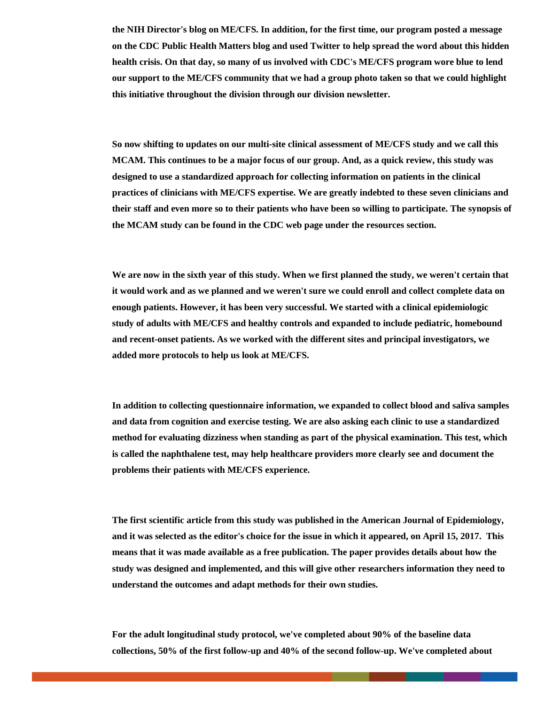**the NIH Director's blog on ME/CFS. In addition, for the first time, our program posted a message on the CDC Public Health Matters blog and used Twitter to help spread the word about this hidden health crisis. On that day, so many of us involved with CDC's ME/CFS program wore blue to lend our support to the ME/CFS community that we had a group photo taken so that we could highlight this initiative throughout the division through our division newsletter.**

**So now shifting to updates on our multi-site clinical assessment of ME/CFS study and we call this MCAM. This continues to be a major focus of our group. And, as a quick review, this study was designed to use a standardized approach for collecting information on patients in the clinical practices of clinicians with ME/CFS expertise. We are greatly indebted to these seven clinicians and their staff and even more so to their patients who have been so willing to participate. The synopsis of the MCAM study can be found in the CDC web page under the resources section.**

**We are now in the sixth year of this study. When we first planned the study, we weren't certain that it would work and as we planned and we weren't sure we could enroll and collect complete data on enough patients. However, it has been very successful. We started with a clinical epidemiologic study of adults with ME/CFS and healthy controls and expanded to include pediatric, homebound and recent-onset patients. As we worked with the different sites and principal investigators, we added more protocols to help us look at ME/CFS.** 

**In addition to collecting questionnaire information, we expanded to collect blood and saliva samples and data from cognition and exercise testing. We are also asking each clinic to use a standardized method for evaluating dizziness when standing as part of the physical examination. This test, which is called the naphthalene test, may help healthcare providers more clearly see and document the problems their patients with ME/CFS experience.**

**The first scientific article from this study was published in the American Journal of Epidemiology, and it was selected as the editor's choice for the issue in which it appeared, on April 15, 2017. This means that it was made available as a free publication. The paper provides details about how the study was designed and implemented, and this will give other researchers information they need to understand the outcomes and adapt methods for their own studies.**

**For the adult longitudinal study protocol, we've completed about 90% of the baseline data collections, 50% of the first follow-up and 40% of the second follow-up. We've completed about**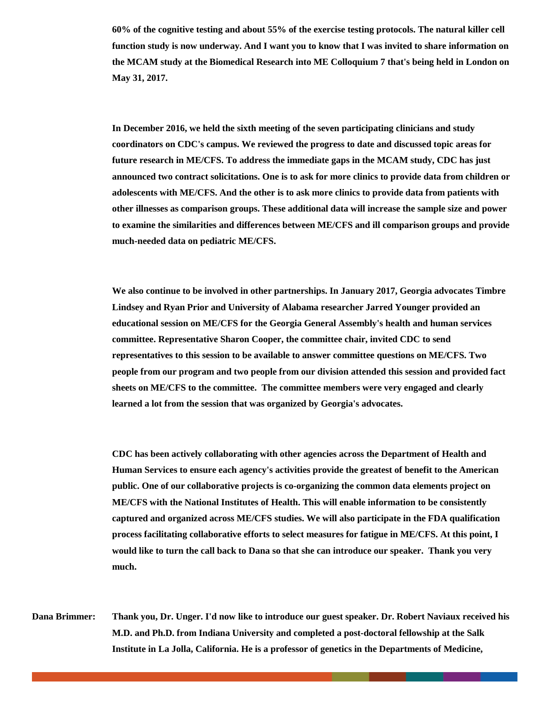**60% of the cognitive testing and about 55% of the exercise testing protocols. The natural killer cell function study is now underway. And I want you to know that I was invited to share information on the MCAM study at the Biomedical Research into ME Colloquium 7 that's being held in London on May 31, 2017.** 

**In December 2016, we held the sixth meeting of the seven participating clinicians and study coordinators on CDC's campus. We reviewed the progress to date and discussed topic areas for future research in ME/CFS. To address the immediate gaps in the MCAM study, CDC has just announced two contract solicitations. One is to ask for more clinics to provide data from children or adolescents with ME/CFS. And the other is to ask more clinics to provide data from patients with other illnesses as comparison groups. These additional data will increase the sample size and power to examine the similarities and differences between ME/CFS and ill comparison groups and provide much-needed data on pediatric ME/CFS.**

**We also continue to be involved in other partnerships. In January 2017, Georgia advocates Timbre Lindsey and Ryan Prior and University of Alabama researcher Jarred Younger provided an educational session on ME/CFS for the Georgia General Assembly's health and human services committee. Representative Sharon Cooper, the committee chair, invited CDC to send representatives to this session to be available to answer committee questions on ME/CFS. Two people from our program and two people from our division attended this session and provided fact sheets on ME/CFS to the committee. The committee members were very engaged and clearly learned a lot from the session that was organized by Georgia's advocates.** 

**CDC has been actively collaborating with other agencies across the Department of Health and Human Services to ensure each agency's activities provide the greatest of benefit to the American public. One of our collaborative projects is co-organizing the common data elements project on ME/CFS with the National Institutes of Health. This will enable information to be consistently captured and organized across ME/CFS studies. We will also participate in the FDA qualification process facilitating collaborative efforts to select measures for fatigue in ME/CFS. At this point, I would like to turn the call back to Dana so that she can introduce our speaker. Thank you very much.**

**Dana Brimmer: Thank you, Dr. Unger. I'd now like to introduce our guest speaker. Dr. Robert Naviaux received his M.D. and Ph.D. from Indiana University and completed a post-doctoral fellowship at the Salk Institute in La Jolla, California. He is a professor of genetics in the Departments of Medicine,**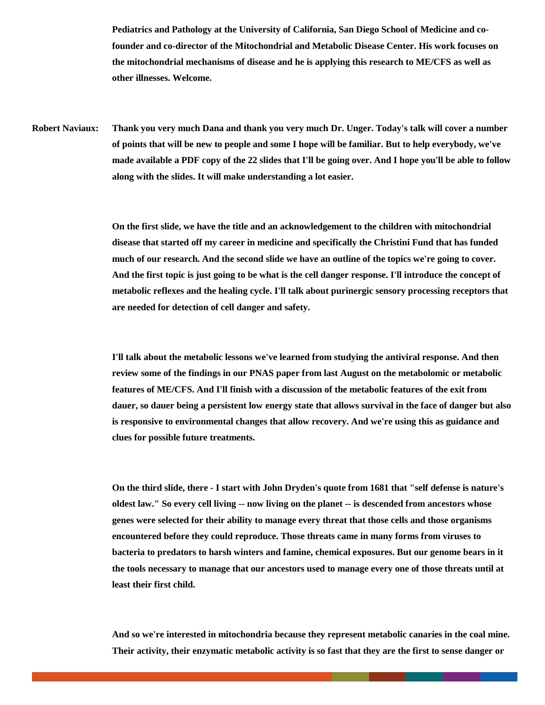**Pediatrics and Pathology at the University of California, San Diego School of Medicine and cofounder and co-director of the Mitochondrial and Metabolic Disease Center. His work focuses on the mitochondrial mechanisms of disease and he is applying this research to ME/CFS as well as other illnesses. Welcome.**

**Robert Naviaux: Thank you very much Dana and thank you very much Dr. Unger. Today's talk will cover a number of points that will be new to people and some I hope will be familiar. But to help everybody, we've made available a PDF copy of the 22 slides that I'll be going over. And I hope you'll be able to follow along with the slides. It will make understanding a lot easier.**

> **On the first slide, we have the title and an acknowledgement to the children with mitochondrial disease that started off my career in medicine and specifically the Christini Fund that has funded much of our research. And the second slide we have an outline of the topics we're going to cover. And the first topic is just going to be what is the cell danger response. I'll introduce the concept of metabolic reflexes and the healing cycle. I'll talk about purinergic sensory processing receptors that are needed for detection of cell danger and safety.**

> **I'll talk about the metabolic lessons we've learned from studying the antiviral response. And then review some of the findings in our PNAS paper from last August on the metabolomic or metabolic features of ME/CFS. And I'll finish with a discussion of the metabolic features of the exit from dauer, so dauer being a persistent low energy state that allows survival in the face of danger but also is responsive to environmental changes that allow recovery. And we're using this as guidance and clues for possible future treatments.**

**On the third slide, there - I start with John Dryden's quote from 1681 that "self defense is nature's oldest law." So every cell living -- now living on the planet -- is descended from ancestors whose genes were selected for their ability to manage every threat that those cells and those organisms encountered before they could reproduce. Those threats came in many forms from viruses to bacteria to predators to harsh winters and famine, chemical exposures. But our genome bears in it the tools necessary to manage that our ancestors used to manage every one of those threats until at least their first child.**

**And so we're interested in mitochondria because they represent metabolic canaries in the coal mine. Their activity, their enzymatic metabolic activity is so fast that they are the first to sense danger or**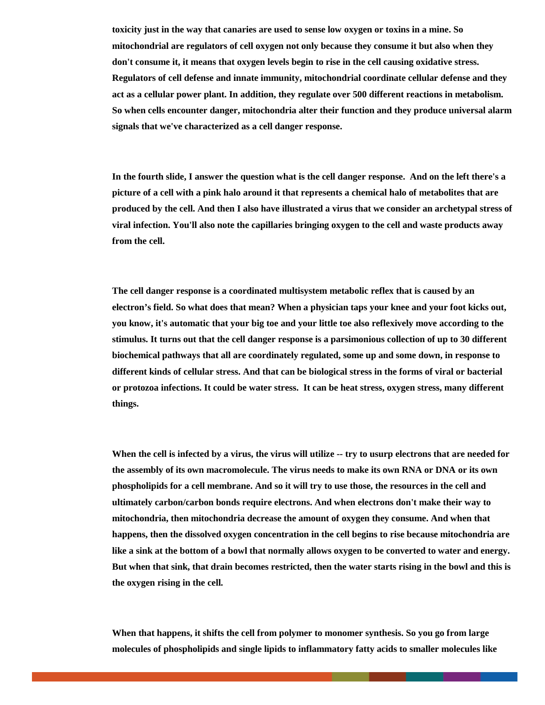**toxicity just in the way that canaries are used to sense low oxygen or toxins in a mine. So mitochondrial are regulators of cell oxygen not only because they consume it but also when they don't consume it, it means that oxygen levels begin to rise in the cell causing oxidative stress. Regulators of cell defense and innate immunity, mitochondrial coordinate cellular defense and they act as a cellular power plant. In addition, they regulate over 500 different reactions in metabolism. So when cells encounter danger, mitochondria alter their function and they produce universal alarm signals that we've characterized as a cell danger response.**

**In the fourth slide, I answer the question what is the cell danger response. And on the left there's a picture of a cell with a pink halo around it that represents a chemical halo of metabolites that are produced by the cell. And then I also have illustrated a virus that we consider an archetypal stress of viral infection. You'll also note the capillaries bringing oxygen to the cell and waste products away from the cell.**

**The cell danger response is a coordinated multisystem metabolic reflex that is caused by an electron's field. So what does that mean? When a physician taps your knee and your foot kicks out, you know, it's automatic that your big toe and your little toe also reflexively move according to the stimulus. It turns out that the cell danger response is a parsimonious collection of up to 30 different biochemical pathways that all are coordinately regulated, some up and some down, in response to different kinds of cellular stress. And that can be biological stress in the forms of viral or bacterial or protozoa infections. It could be water stress. It can be heat stress, oxygen stress, many different things.**

**When the cell is infected by a virus, the virus will utilize -- try to usurp electrons that are needed for the assembly of its own macromolecule. The virus needs to make its own RNA or DNA or its own phospholipids for a cell membrane. And so it will try to use those, the resources in the cell and ultimately carbon/carbon bonds require electrons. And when electrons don't make their way to mitochondria, then mitochondria decrease the amount of oxygen they consume. And when that happens, then the dissolved oxygen concentration in the cell begins to rise because mitochondria are like a sink at the bottom of a bowl that normally allows oxygen to be converted to water and energy. But when that sink, that drain becomes restricted, then the water starts rising in the bowl and this is the oxygen rising in the cell.**

**When that happens, it shifts the cell from polymer to monomer synthesis. So you go from large molecules of phospholipids and single lipids to inflammatory fatty acids to smaller molecules like**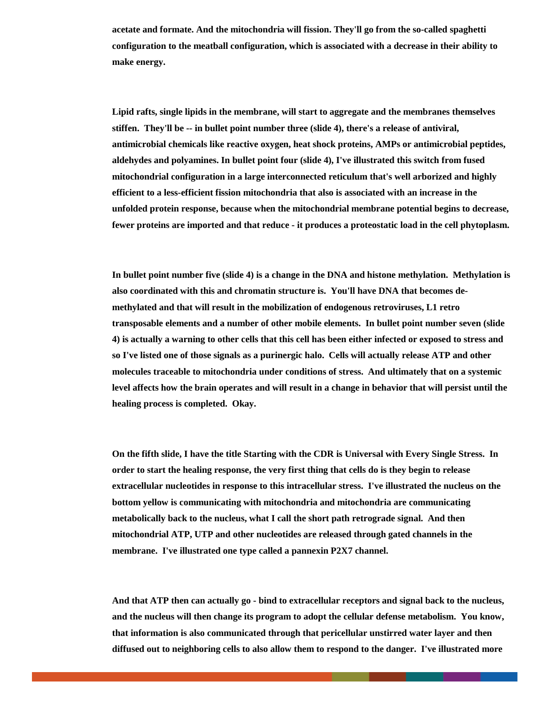**acetate and formate. And the mitochondria will fission. They'll go from the so-called spaghetti configuration to the meatball configuration, which is associated with a decrease in their ability to make energy.**

**Lipid rafts, single lipids in the membrane, will start to aggregate and the membranes themselves stiffen. They'll be -- in bullet point number three (slide 4), there's a release of antiviral, antimicrobial chemicals like reactive oxygen, heat shock proteins, AMPs or antimicrobial peptides, aldehydes and polyamines. In bullet point four (slide 4), I've illustrated this switch from fused mitochondrial configuration in a large interconnected reticulum that's well arborized and highly efficient to a less-efficient fission mitochondria that also is associated with an increase in the unfolded protein response, because when the mitochondrial membrane potential begins to decrease, fewer proteins are imported and that reduce - it produces a proteostatic load in the cell phytoplasm.** 

**In bullet point number five (slide 4) is a change in the DNA and histone methylation. Methylation is also coordinated with this and chromatin structure is. You'll have DNA that becomes demethylated and that will result in the mobilization of endogenous retroviruses, L1 retro transposable elements and a number of other mobile elements. In bullet point number seven (slide 4) is actually a warning to other cells that this cell has been either infected or exposed to stress and so I've listed one of those signals as a purinergic halo. Cells will actually release ATP and other molecules traceable to mitochondria under conditions of stress. And ultimately that on a systemic level affects how the brain operates and will result in a change in behavior that will persist until the healing process is completed. Okay.** 

**On the fifth slide, I have the title Starting with the CDR is Universal with Every Single Stress. In order to start the healing response, the very first thing that cells do is they begin to release extracellular nucleotides in response to this intracellular stress. I've illustrated the nucleus on the bottom yellow is communicating with mitochondria and mitochondria are communicating metabolically back to the nucleus, what I call the short path retrograde signal. And then mitochondrial ATP, UTP and other nucleotides are released through gated channels in the membrane. I've illustrated one type called a pannexin P2X7 channel.** 

**And that ATP then can actually go - bind to extracellular receptors and signal back to the nucleus, and the nucleus will then change its program to adopt the cellular defense metabolism. You know, that information is also communicated through that pericellular unstirred water layer and then diffused out to neighboring cells to also allow them to respond to the danger. I've illustrated more**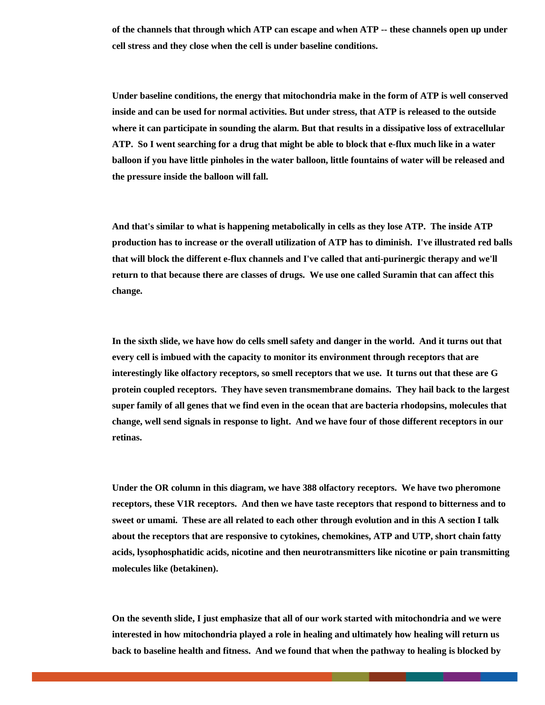**of the channels that through which ATP can escape and when ATP -- these channels open up under cell stress and they close when the cell is under baseline conditions.**

**Under baseline conditions, the energy that mitochondria make in the form of ATP is well conserved inside and can be used for normal activities. But under stress, that ATP is released to the outside where it can participate in sounding the alarm. But that results in a dissipative loss of extracellular ATP. So I went searching for a drug that might be able to block that e-flux much like in a water balloon if you have little pinholes in the water balloon, little fountains of water will be released and the pressure inside the balloon will fall.**

**And that's similar to what is happening metabolically in cells as they lose ATP. The inside ATP production has to increase or the overall utilization of ATP has to diminish. I've illustrated red balls that will block the different e-flux channels and I've called that anti-purinergic therapy and we'll return to that because there are classes of drugs. We use one called Suramin that can affect this change.** 

**In the sixth slide, we have how do cells smell safety and danger in the world. And it turns out that every cell is imbued with the capacity to monitor its environment through receptors that are interestingly like olfactory receptors, so smell receptors that we use. It turns out that these are G protein coupled receptors. They have seven transmembrane domains. They hail back to the largest super family of all genes that we find even in the ocean that are bacteria rhodopsins, molecules that change, well send signals in response to light. And we have four of those different receptors in our retinas.**

**Under the OR column in this diagram, we have 388 olfactory receptors. We have two pheromone receptors, these V1R receptors. And then we have taste receptors that respond to bitterness and to sweet or umami. These are all related to each other through evolution and in this A section I talk about the receptors that are responsive to cytokines, chemokines, ATP and UTP, short chain fatty acids, lysophosphatidic acids, nicotine and then neurotransmitters like nicotine or pain transmitting molecules like (betakinen).**

**On the seventh slide, I just emphasize that all of our work started with mitochondria and we were interested in how mitochondria played a role in healing and ultimately how healing will return us back to baseline health and fitness. And we found that when the pathway to healing is blocked by**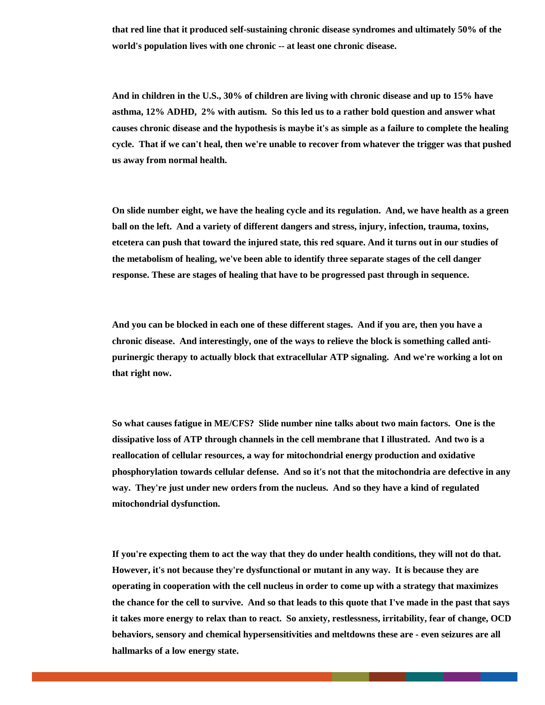**that red line that it produced self-sustaining chronic disease syndromes and ultimately 50% of the world's population lives with one chronic -- at least one chronic disease.**

**And in children in the U.S., 30% of children are living with chronic disease and up to 15% have asthma, 12% ADHD, 2% with autism. So this led us to a rather bold question and answer what causes chronic disease and the hypothesis is maybe it's as simple as a failure to complete the healing cycle. That if we can't heal, then we're unable to recover from whatever the trigger was that pushed us away from normal health.** 

**On slide number eight, we have the healing cycle and its regulation. And, we have health as a green ball on the left. And a variety of different dangers and stress, injury, infection, trauma, toxins, etcetera can push that toward the injured state, this red square. And it turns out in our studies of the metabolism of healing, we've been able to identify three separate stages of the cell danger response. These are stages of healing that have to be progressed past through in sequence.**

**And you can be blocked in each one of these different stages. And if you are, then you have a chronic disease. And interestingly, one of the ways to relieve the block is something called antipurinergic therapy to actually block that extracellular ATP signaling. And we're working a lot on that right now.**

**So what causes fatigue in ME/CFS? Slide number nine talks about two main factors. One is the dissipative loss of ATP through channels in the cell membrane that I illustrated. And two is a reallocation of cellular resources, a way for mitochondrial energy production and oxidative phosphorylation towards cellular defense. And so it's not that the mitochondria are defective in any way. They're just under new orders from the nucleus. And so they have a kind of regulated mitochondrial dysfunction.**

**If you're expecting them to act the way that they do under health conditions, they will not do that. However, it's not because they're dysfunctional or mutant in any way. It is because they are operating in cooperation with the cell nucleus in order to come up with a strategy that maximizes the chance for the cell to survive. And so that leads to this quote that I've made in the past that says it takes more energy to relax than to react. So anxiety, restlessness, irritability, fear of change, OCD behaviors, sensory and chemical hypersensitivities and meltdowns these are - even seizures are all hallmarks of a low energy state.**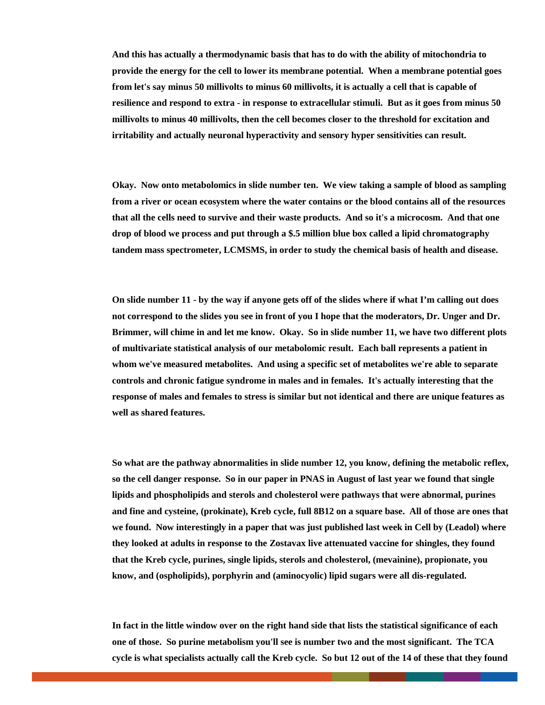**And this has actually a thermodynamic basis that has to do with the ability of mitochondria to provide the energy for the cell to lower its membrane potential. When a membrane potential goes from let's say minus 50 millivolts to minus 60 millivolts, it is actually a cell that is capable of resilience and respond to extra - in response to extracellular stimuli. But as it goes from minus 50 millivolts to minus 40 millivolts, then the cell becomes closer to the threshold for excitation and irritability and actually neuronal hyperactivity and sensory hyper sensitivities can result.**

**Okay. Now onto metabolomics in slide number ten. We view taking a sample of blood as sampling from a river or ocean ecosystem where the water contains or the blood contains all of the resources that all the cells need to survive and their waste products. And so it's a microcosm. And that one drop of blood we process and put through a \$.5 million blue box called a lipid chromatography tandem mass spectrometer, LCMSMS, in order to study the chemical basis of health and disease.**

**On slide number 11 - by the way if anyone gets off of the slides where if what I'm calling out does not correspond to the slides you see in front of you I hope that the moderators, Dr. Unger and Dr. Brimmer, will chime in and let me know. Okay. So in slide number 11, we have two different plots of multivariate statistical analysis of our metabolomic result. Each ball represents a patient in whom we've measured metabolites. And using a specific set of metabolites we're able to separate controls and chronic fatigue syndrome in males and in females. It's actually interesting that the response of males and females to stress is similar but not identical and there are unique features as well as shared features.**

**So what are the pathway abnormalities in slide number 12, you know, defining the metabolic reflex, so the cell danger response. So in our paper in PNAS in August of last year we found that single lipids and phospholipids and sterols and cholesterol were pathways that were abnormal, purines and fine and cysteine, (prokinate), Kreb cycle, full 8B12 on a square base. All of those are ones that we found. Now interestingly in a paper that was just published last week in Cell by (Leadol) where they looked at adults in response to the Zostavax live attenuated vaccine for shingles, they found that the Kreb cycle, purines, single lipids, sterols and cholesterol, (mevainine), propionate, you know, and (ospholipids), porphyrin and (aminocyolic) lipid sugars were all dis-regulated.**

**In fact in the little window over on the right hand side that lists the statistical significance of each one of those. So purine metabolism you'll see is number two and the most significant. The TCA cycle is what specialists actually call the Kreb cycle. So but 12 out of the 14 of these that they found**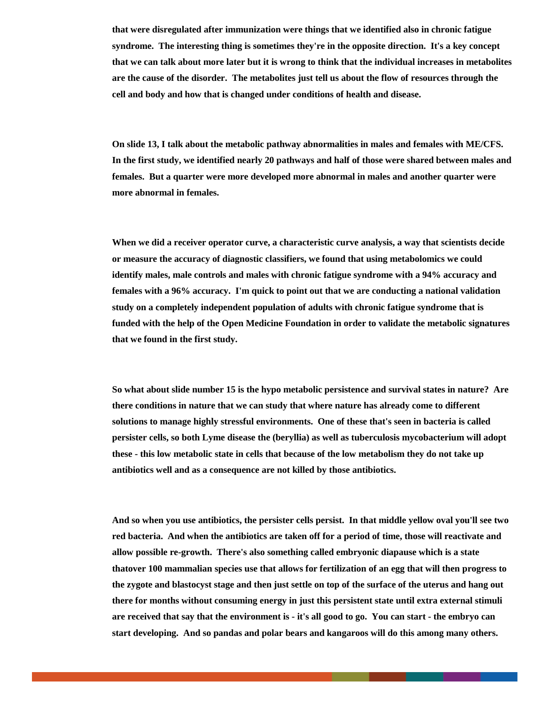**that were disregulated after immunization were things that we identified also in chronic fatigue syndrome. The interesting thing is sometimes they're in the opposite direction. It's a key concept that we can talk about more later but it is wrong to think that the individual increases in metabolites are the cause of the disorder. The metabolites just tell us about the flow of resources through the cell and body and how that is changed under conditions of health and disease.**

**On slide 13, I talk about the metabolic pathway abnormalities in males and females with ME/CFS. In the first study, we identified nearly 20 pathways and half of those were shared between males and females. But a quarter were more developed more abnormal in males and another quarter were more abnormal in females.**

**When we did a receiver operator curve, a characteristic curve analysis, a way that scientists decide or measure the accuracy of diagnostic classifiers, we found that using metabolomics we could identify males, male controls and males with chronic fatigue syndrome with a 94% accuracy and females with a 96% accuracy. I'm quick to point out that we are conducting a national validation study on a completely independent population of adults with chronic fatigue syndrome that is funded with the help of the Open Medicine Foundation in order to validate the metabolic signatures that we found in the first study.**

**So what about slide number 15 is the hypo metabolic persistence and survival states in nature? Are there conditions in nature that we can study that where nature has already come to different solutions to manage highly stressful environments. One of these that's seen in bacteria is called persister cells, so both Lyme disease the (beryllia) as well as tuberculosis mycobacterium will adopt these - this low metabolic state in cells that because of the low metabolism they do not take up antibiotics well and as a consequence are not killed by those antibiotics.**

**And so when you use antibiotics, the persister cells persist. In that middle yellow oval you'll see two red bacteria. And when the antibiotics are taken off for a period of time, those will reactivate and allow possible re-growth. There's also something called embryonic diapause which is a state thatover 100 mammalian species use that allows for fertilization of an egg that will then progress to the zygote and blastocyst stage and then just settle on top of the surface of the uterus and hang out there for months without consuming energy in just this persistent state until extra external stimuli are received that say that the environment is - it's all good to go. You can start - the embryo can start developing. And so pandas and polar bears and kangaroos will do this among many others.**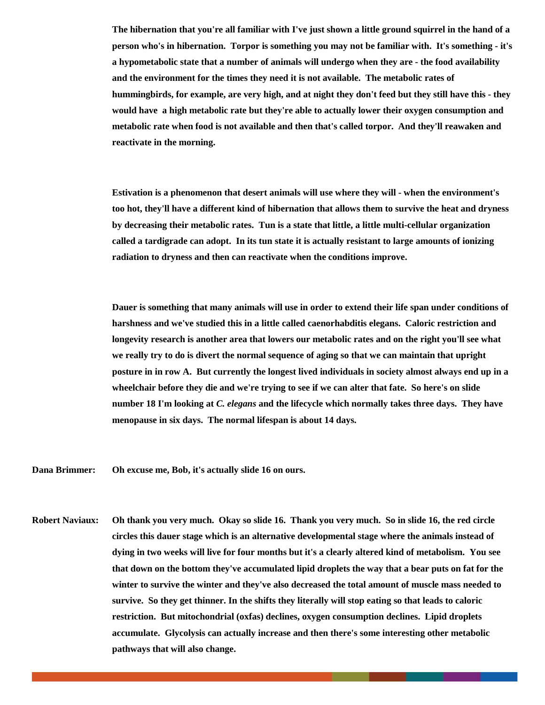**The hibernation that you're all familiar with I've just shown a little ground squirrel in the hand of a person who's in hibernation. Torpor is something you may not be familiar with. It's something - it's a hypometabolic state that a number of animals will undergo when they are - the food availability and the environment for the times they need it is not available. The metabolic rates of hummingbirds, for example, are very high, and at night they don't feed but they still have this - they would have a high metabolic rate but they're able to actually lower their oxygen consumption and metabolic rate when food is not available and then that's called torpor. And they'll reawaken and reactivate in the morning.**

**Estivation is a phenomenon that desert animals will use where they will - when the environment's too hot, they'll have a different kind of hibernation that allows them to survive the heat and dryness by decreasing their metabolic rates. Tun is a state that little, a little multi-cellular organization called a tardigrade can adopt. In its tun state it is actually resistant to large amounts of ionizing radiation to dryness and then can reactivate when the conditions improve.** 

**Dauer is something that many animals will use in order to extend their life span under conditions of harshness and we've studied this in a little called caenorhabditis elegans. Caloric restriction and longevity research is another area that lowers our metabolic rates and on the right you'll see what we really try to do is divert the normal sequence of aging so that we can maintain that upright posture in in row A. But currently the longest lived individuals in society almost always end up in a wheelchair before they die and we're trying to see if we can alter that fate. So here's on slide number 18 I'm looking at** *C. elegans* **and the lifecycle which normally takes three days. They have menopause in six days. The normal lifespan is about 14 days.** 

**Dana Brimmer: Oh excuse me, Bob, it's actually slide 16 on ours.** 

**Robert Naviaux: Oh thank you very much. Okay so slide 16. Thank you very much. So in slide 16, the red circle circles this dauer stage which is an alternative developmental stage where the animals instead of dying in two weeks will live for four months but it's a clearly altered kind of metabolism. You see that down on the bottom they've accumulated lipid droplets the way that a bear puts on fat for the winter to survive the winter and they've also decreased the total amount of muscle mass needed to survive. So they get thinner. In the shifts they literally will stop eating so that leads to caloric restriction. But mitochondrial (oxfas) declines, oxygen consumption declines. Lipid droplets accumulate. Glycolysis can actually increase and then there's some interesting other metabolic pathways that will also change.**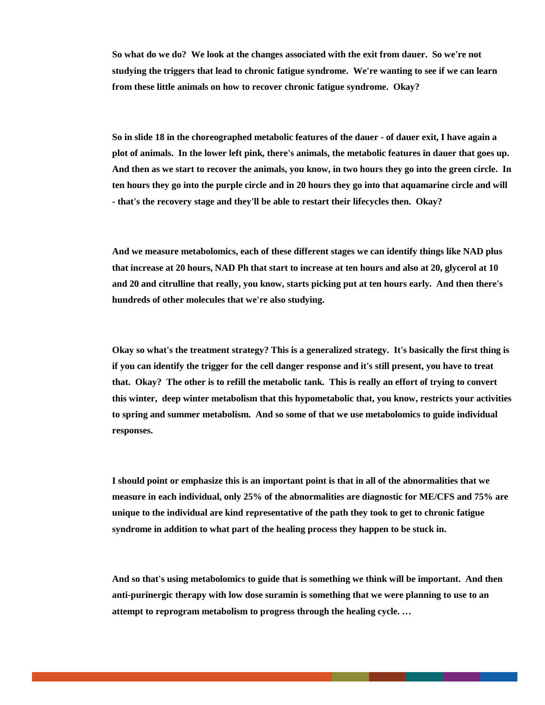**So what do we do? We look at the changes associated with the exit from dauer. So we're not studying the triggers that lead to chronic fatigue syndrome. We're wanting to see if we can learn from these little animals on how to recover chronic fatigue syndrome. Okay?** 

**So in slide 18 in the choreographed metabolic features of the dauer - of dauer exit, I have again a plot of animals. In the lower left pink, there's animals, the metabolic features in dauer that goes up. And then as we start to recover the animals, you know, in two hours they go into the green circle. In ten hours they go into the purple circle and in 20 hours they go into that aquamarine circle and will - that's the recovery stage and they'll be able to restart their lifecycles then. Okay?**

**And we measure metabolomics, each of these different stages we can identify things like NAD plus that increase at 20 hours, NAD Ph that start to increase at ten hours and also at 20, glycerol at 10 and 20 and citrulline that really, you know, starts picking put at ten hours early. And then there's hundreds of other molecules that we're also studying.**

**Okay so what's the treatment strategy? This is a generalized strategy. It's basically the first thing is if you can identify the trigger for the cell danger response and it's still present, you have to treat that. Okay? The other is to refill the metabolic tank. This is really an effort of trying to convert this winter, deep winter metabolism that this hypometabolic that, you know, restricts your activities to spring and summer metabolism. And so some of that we use metabolomics to guide individual responses.**

**I should point or emphasize this is an important point is that in all of the abnormalities that we measure in each individual, only 25% of the abnormalities are diagnostic for ME/CFS and 75% are unique to the individual are kind representative of the path they took to get to chronic fatigue syndrome in addition to what part of the healing process they happen to be stuck in.**

**And so that's using metabolomics to guide that is something we think will be important. And then anti-purinergic therapy with low dose suramin is something that we were planning to use to an attempt to reprogram metabolism to progress through the healing cycle. …**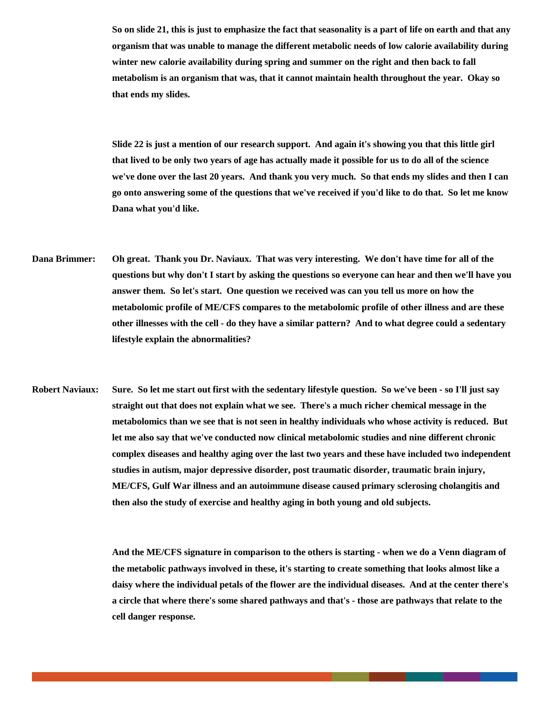**So on slide 21, this is just to emphasize the fact that seasonality is a part of life on earth and that any organism that was unable to manage the different metabolic needs of low calorie availability during winter new calorie availability during spring and summer on the right and then back to fall metabolism is an organism that was, that it cannot maintain health throughout the year. Okay so that ends my slides.**

**Slide 22 is just a mention of our research support. And again it's showing you that this little girl that lived to be only two years of age has actually made it possible for us to do all of the science we've done over the last 20 years. And thank you very much. So that ends my slides and then I can go onto answering some of the questions that we've received if you'd like to do that. So let me know Dana what you'd like.** 

- **Dana Brimmer: Oh great. Thank you Dr. Naviaux. That was very interesting. We don't have time for all of the questions but why don't I start by asking the questions so everyone can hear and then we'll have you answer them. So let's start. One question we received was can you tell us more on how the metabolomic profile of ME/CFS compares to the metabolomic profile of other illness and are these other illnesses with the cell - do they have a similar pattern? And to what degree could a sedentary lifestyle explain the abnormalities?**
- **Robert Naviaux: Sure. So let me start out first with the sedentary lifestyle question. So we've been so I'll just say straight out that does not explain what we see. There's a much richer chemical message in the metabolomics than we see that is not seen in healthy individuals who whose activity is reduced. But let me also say that we've conducted now clinical metabolomic studies and nine different chronic complex diseases and healthy aging over the last two years and these have included two independent studies in autism, major depressive disorder, post traumatic disorder, traumatic brain injury, ME/CFS, Gulf War illness and an autoimmune disease caused primary sclerosing cholangitis and then also the study of exercise and healthy aging in both young and old subjects.**

**And the ME/CFS signature in comparison to the others is starting - when we do a Venn diagram of the metabolic pathways involved in these, it's starting to create something that looks almost like a daisy where the individual petals of the flower are the individual diseases. And at the center there's a circle that where there's some shared pathways and that's - those are pathways that relate to the cell danger response.**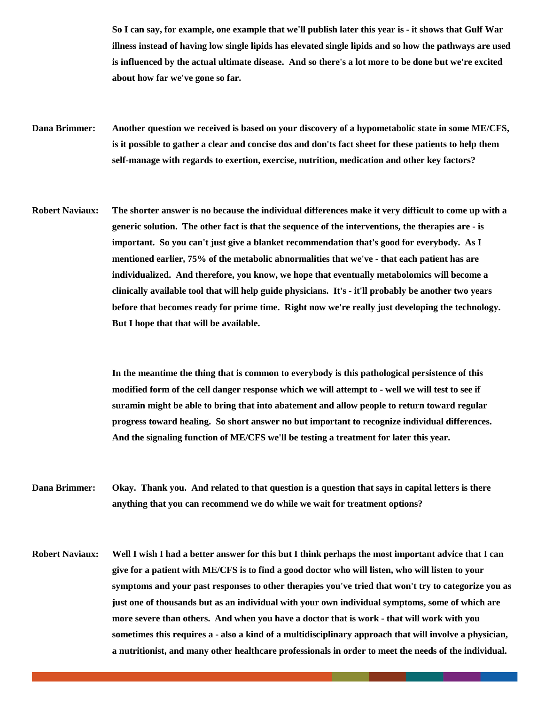**So I can say, for example, one example that we'll publish later this year is - it shows that Gulf War illness instead of having low single lipids has elevated single lipids and so how the pathways are used is influenced by the actual ultimate disease. And so there's a lot more to be done but we're excited about how far we've gone so far.** 

- **Dana Brimmer: Another question we received is based on your discovery of a hypometabolic state in some ME/CFS, is it possible to gather a clear and concise dos and don'ts fact sheet for these patients to help them self-manage with regards to exertion, exercise, nutrition, medication and other key factors?**
- **Robert Naviaux: The shorter answer is no because the individual differences make it very difficult to come up with a generic solution. The other fact is that the sequence of the interventions, the therapies are - is important. So you can't just give a blanket recommendation that's good for everybody. As I mentioned earlier, 75% of the metabolic abnormalities that we've - that each patient has are individualized. And therefore, you know, we hope that eventually metabolomics will become a clinically available tool that will help guide physicians. It's - it'll probably be another two years before that becomes ready for prime time. Right now we're really just developing the technology. But I hope that that will be available.**

**In the meantime the thing that is common to everybody is this pathological persistence of this modified form of the cell danger response which we will attempt to - well we will test to see if suramin might be able to bring that into abatement and allow people to return toward regular progress toward healing. So short answer no but important to recognize individual differences. And the signaling function of ME/CFS we'll be testing a treatment for later this year.**

**Dana Brimmer: Okay. Thank you. And related to that question is a question that says in capital letters is there anything that you can recommend we do while we wait for treatment options?**

**Robert Naviaux: Well I wish I had a better answer for this but I think perhaps the most important advice that I can give for a patient with ME/CFS is to find a good doctor who will listen, who will listen to your symptoms and your past responses to other therapies you've tried that won't try to categorize you as just one of thousands but as an individual with your own individual symptoms, some of which are more severe than others. And when you have a doctor that is work - that will work with you sometimes this requires a - also a kind of a multidisciplinary approach that will involve a physician, a nutritionist, and many other healthcare professionals in order to meet the needs of the individual.**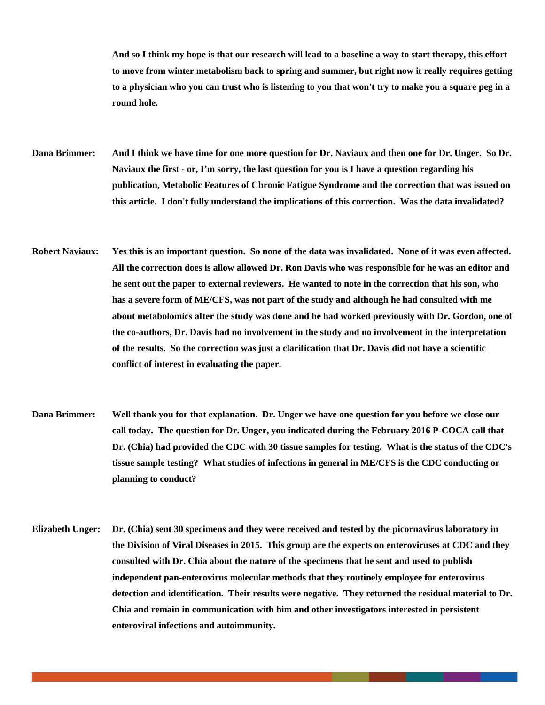**And so I think my hope is that our research will lead to a baseline a way to start therapy, this effort to move from winter metabolism back to spring and summer, but right now it really requires getting to a physician who you can trust who is listening to you that won't try to make you a square peg in a round hole.**

**Dana Brimmer: And I think we have time for one more question for Dr. Naviaux and then one for Dr. Unger. So Dr. Naviaux the first - or, I'm sorry, the last question for you is I have a question regarding his publication, Metabolic Features of Chronic Fatigue Syndrome and the correction that was issued on this article. I don't fully understand the implications of this correction. Was the data invalidated?** 

- **Robert Naviaux: Yes this is an important question. So none of the data was invalidated. None of it was even affected. All the correction does is allow allowed Dr. Ron Davis who was responsible for he was an editor and he sent out the paper to external reviewers. He wanted to note in the correction that his son, who has a severe form of ME/CFS, was not part of the study and although he had consulted with me about metabolomics after the study was done and he had worked previously with Dr. Gordon, one of the co-authors, Dr. Davis had no involvement in the study and no involvement in the interpretation of the results. So the correction was just a clarification that Dr. Davis did not have a scientific conflict of interest in evaluating the paper.**
- **Dana Brimmer: Well thank you for that explanation. Dr. Unger we have one question for you before we close our call today. The question for Dr. Unger, you indicated during the February 2016 P-COCA call that Dr. (Chia) had provided the CDC with 30 tissue samples for testing. What is the status of the CDC's tissue sample testing? What studies of infections in general in ME/CFS is the CDC conducting or planning to conduct?**
- **Elizabeth Unger: Dr. (Chia) sent 30 specimens and they were received and tested by the picornavirus laboratory in the Division of Viral Diseases in 2015. This group are the experts on enteroviruses at CDC and they consulted with Dr. Chia about the nature of the specimens that he sent and used to publish independent pan-enterovirus molecular methods that they routinely employee for enterovirus detection and identification. Their results were negative. They returned the residual material to Dr. Chia and remain in communication with him and other investigators interested in persistent enteroviral infections and autoimmunity.**